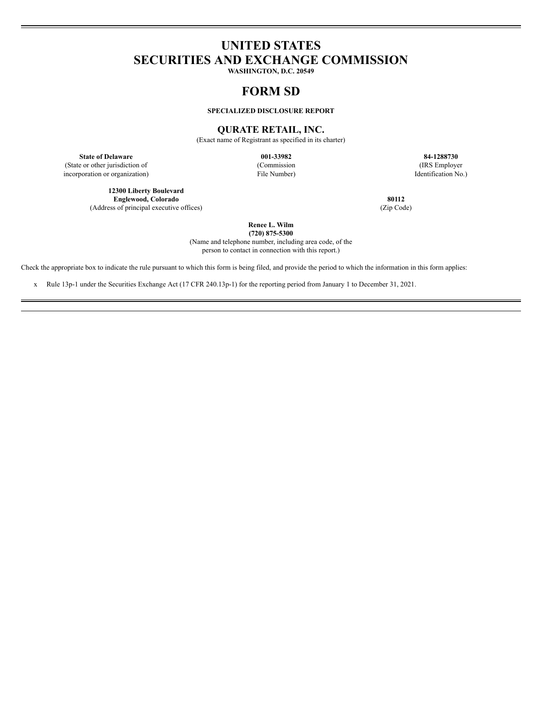# **UNITED STATES SECURITIES AND EXCHANGE COMMISSION**

**WASHINGTON, D.C. 20549**

## **FORM SD**

**SPECIALIZED DISCLOSURE REPORT**

## **QURATE RETAIL, INC.**

(Exact name of Registrant as specified in its charter)

**State of Delaware 001-33982 84-1288730** (State or other jurisdiction of incorporation or organization)

**12300 Liberty Boulevard Englewood, Colorado 80112** (Address of principal executive offices) (Zip Code)

(Commission File Number)

(IRS Employer Identification No.)

**Renee L. Wilm**

**(720) 875-5300** (Name and telephone number, including area code, of the person to contact in connection with this report.)

Check the appropriate box to indicate the rule pursuant to which this form is being filed, and provide the period to which the information in this form applies:

x Rule 13p-1 under the Securities Exchange Act (17 CFR 240.13p-1) for the reporting period from January 1 to December 31, 2021.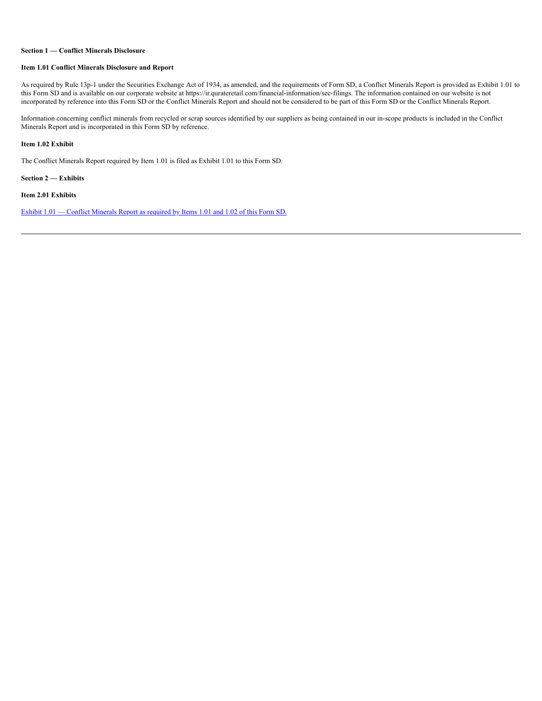#### **Section 1 — Conflict Minerals Disclosure**

#### **Item 1.01 Conflict Minerals Disclosure and Report**

As required by Rule 13p-1 under the Securities Exchange Act of 1934, as amended, and the requirements of Form SD, a Conflict Minerals Report is provided as Exhibit 1.01 to this Form SD and is available on our corporate website at https://ir.qurateretail.com/financial-information/sec-filings. The information contained on our website is not incorporated by reference into this Form SD or the Conflict Minerals Report and should not be considered to be part of this Form SD or the Conflict Minerals Report.

Information concerning conflict minerals from recycled or scrap sources identified by our suppliers as being contained in our in-scope products is included in the Conflict Minerals Report and is incorporated in this Form SD by reference.

#### **Item 1.02 Exhibit**

The Conflict Minerals Report required by Item 1.01 is filed as Exhibit 1.01 to this Form SD.

**Section 2 — Exhibits**

**Item 2.01 Exhibits**

Exhibit  $1.01$  — Conflict [Minerals](https://s3.amazonaws.com/content.stockpr.com/qurateretail/sec/0001104659-22-066587/for_pdf/tm2217098d1_ex1-01.htm) Report as required by Items 1.01 and 1.02 of this Form SD.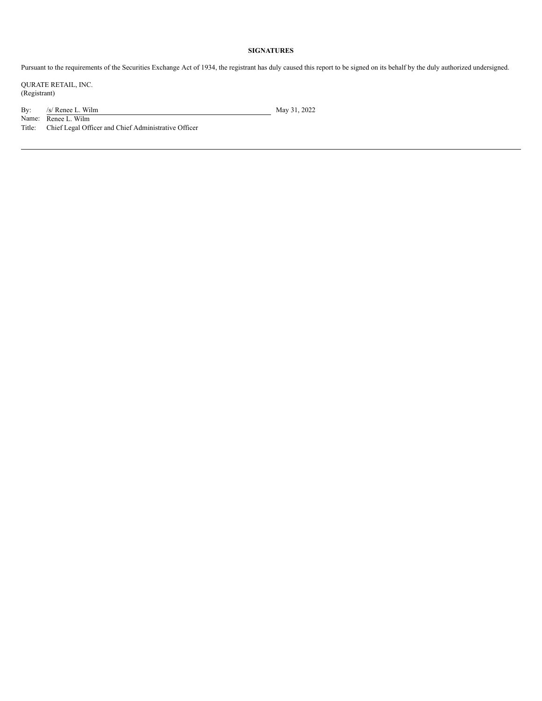## **SIGNATURES**

Pursuant to the requirements of the Securities Exchange Act of 1934, the registrant has duly caused this report to be signed on its behalf by the duly authorized undersigned.

QURATE RETAIL, INC. (Registrant)

By:  $/$  /s/ Renee L. Wilm May 31, 2022

Name: Renee L. Wilm Title: Chief Legal Officer and Chief Administrative Officer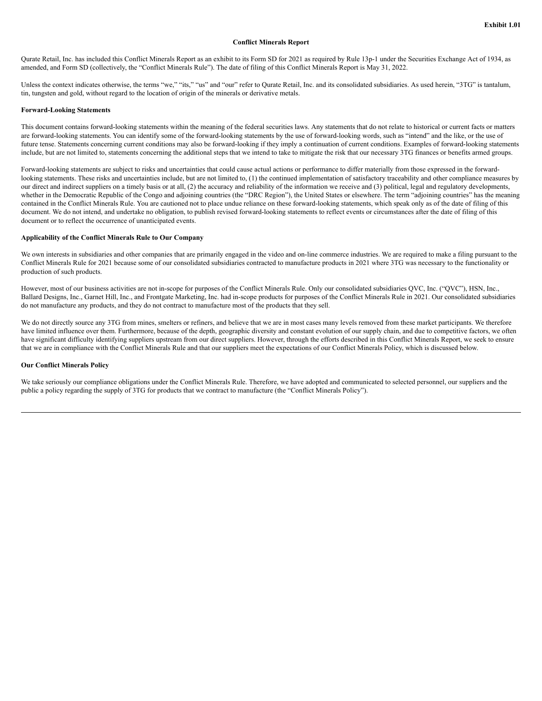#### **Conflict Minerals Report**

Qurate Retail, Inc. has included this Conflict Minerals Report as an exhibit to its Form SD for 2021 as required by Rule 13p-1 under the Securities Exchange Act of 1934, as amended, and Form SD (collectively, the "Conflict Minerals Rule"). The date of filing of this Conflict Minerals Report is May 31, 2022.

Unless the context indicates otherwise, the terms "we," "its," "us" and "our" refer to Qurate Retail, Inc. and its consolidated subsidiaries. As used herein, "3TG" is tantalum, tin, tungsten and gold, without regard to the location of origin of the minerals or derivative metals.

#### **Forward-Looking Statements**

This document contains forward-looking statements within the meaning of the federal securities laws. Any statements that do not relate to historical or current facts or matters are forward-looking statements. You can identify some of the forward-looking statements by the use of forward-looking words, such as "intend" and the like, or the use of future tense. Statements concerning current conditions may also be forward-looking if they imply a continuation of current conditions. Examples of forward-looking statements include, but are not limited to, statements concerning the additional steps that we intend to take to mitigate the risk that our necessary 3TG finances or benefits armed groups.

Forward-looking statements are subject to risks and uncertainties that could cause actual actions or performance to differ materially from those expressed in the forwardlooking statements. These risks and uncertainties include, but are not limited to, (1) the continued implementation of satisfactory traceability and other compliance measures by our direct and indirect suppliers on a timely basis or at all, (2) the accuracy and reliability of the information we receive and (3) political, legal and regulatory developments, whether in the Democratic Republic of the Congo and adjoining countries (the "DRC Region"), the United States or elsewhere. The term "adjoining countries" has the meaning contained in the Conflict Minerals Rule. You are cautioned not to place undue reliance on these forward-looking statements, which speak only as of the date of filing of this document. We do not intend, and undertake no obligation, to publish revised forward-looking statements to reflect events or circumstances after the date of filing of this document or to reflect the occurrence of unanticipated events.

#### **Applicability of the Conflict Minerals Rule to Our Company**

We own interests in subsidiaries and other companies that are primarily engaged in the video and on-line commerce industries. We are required to make a filing pursuant to the Conflict Minerals Rule for 2021 because some of our consolidated subsidiaries contracted to manufacture products in 2021 where 3TG was necessary to the functionality or production of such products.

However, most of our business activities are not in-scope for purposes of the Conflict Minerals Rule. Only our consolidated subsidiaries QVC, Inc. ("QVC"), HSN, Inc., Ballard Designs, Inc., Garnet Hill, Inc., and Frontgate Marketing, Inc. had in-scope products for purposes of the Conflict Minerals Rule in 2021. Our consolidated subsidiaries do not manufacture any products, and they do not contract to manufacture most of the products that they sell.

We do not directly source any 3TG from mines, smelters or refiners, and believe that we are in most cases many levels removed from these market participants. We therefore have limited influence over them. Furthermore, because of the depth, geographic diversity and constant evolution of our supply chain, and due to competitive factors, we often have significant difficulty identifying suppliers upstream from our direct suppliers. However, through the efforts described in this Conflict Minerals Report, we seek to ensure that we are in compliance with the Conflict Minerals Rule and that our suppliers meet the expectations of our Conflict Minerals Policy, which is discussed below.

#### **Our Conflict Minerals Policy**

We take seriously our compliance obligations under the Conflict Minerals Rule. Therefore, we have adopted and communicated to selected personnel, our suppliers and the public a policy regarding the supply of 3TG for products that we contract to manufacture (the "Conflict Minerals Policy").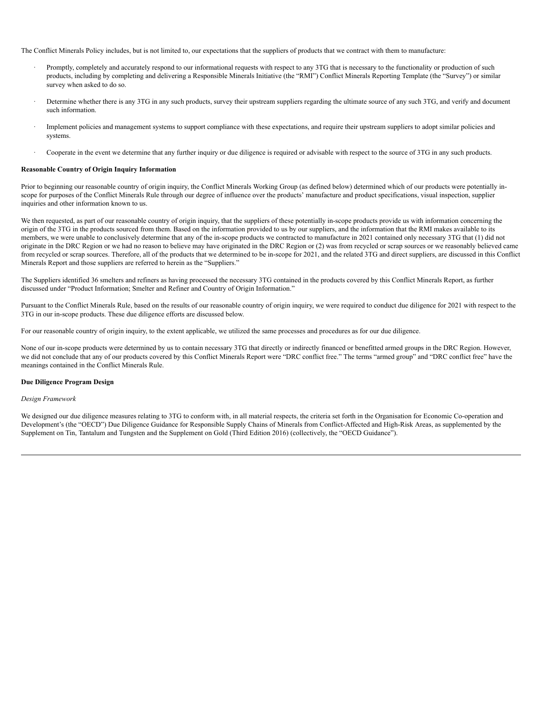The Conflict Minerals Policy includes, but is not limited to, our expectations that the suppliers of products that we contract with them to manufacture:

- Promptly, completely and accurately respond to our informational requests with respect to any 3TG that is necessary to the functionality or production of such products, including by completing and delivering a Responsible Minerals Initiative (the "RMI") Conflict Minerals Reporting Template (the "Survey") or similar survey when asked to do so.
- Determine whether there is any 3TG in any such products, survey their upstream suppliers regarding the ultimate source of any such 3TG, and verify and document such information.
- Implement policies and management systems to support compliance with these expectations, and require their upstream suppliers to adopt similar policies and systems.
- · Cooperate in the event we determine that any further inquiry or due diligence is required or advisable with respect to the source of 3TG in any such products.

#### **Reasonable Country of Origin Inquiry Information**

Prior to beginning our reasonable country of origin inquiry, the Conflict Minerals Working Group (as defined below) determined which of our products were potentially inscope for purposes of the Conflict Minerals Rule through our degree of influence over the products' manufacture and product specifications, visual inspection, supplier inquiries and other information known to us.

We then requested, as part of our reasonable country of origin inquiry, that the suppliers of these potentially in-scope products provide us with information concerning the origin of the 3TG in the products sourced from them. Based on the information provided to us by our suppliers, and the information that the RMI makes available to its members, we were unable to conclusively determine that any of the in-scope products we contracted to manufacture in 2021 contained only necessary 3TG that (1) did not originate in the DRC Region or we had no reason to believe may have originated in the DRC Region or (2) was from recycled or scrap sources or we reasonably believed came from recycled or scrap sources. Therefore, all of the products that we determined to be in-scope for 2021, and the related 3TG and direct suppliers, are discussed in this Conflict Minerals Report and those suppliers are referred to herein as the "Suppliers."

The Suppliers identified 36 smelters and refiners as having processed the necessary 3TG contained in the products covered by this Conflict Minerals Report, as further discussed under "Product Information; Smelter and Refiner and Country of Origin Information."

Pursuant to the Conflict Minerals Rule, based on the results of our reasonable country of origin inquiry, we were required to conduct due diligence for 2021 with respect to the 3TG in our in-scope products. These due diligence efforts are discussed below.

For our reasonable country of origin inquiry, to the extent applicable, we utilized the same processes and procedures as for our due diligence.

None of our in-scope products were determined by us to contain necessary 3TG that directly or indirectly financed or benefitted armed groups in the DRC Region. However, we did not conclude that any of our products covered by this Conflict Minerals Report were "DRC conflict free." The terms "armed group" and "DRC conflict free" have the meanings contained in the Conflict Minerals Rule.

#### **Due Diligence Program Design**

#### *Design Framework*

We designed our due diligence measures relating to 3TG to conform with, in all material respects, the criteria set forth in the Organisation for Economic Co-operation and Development's (the "OECD") Due Diligence Guidance for Responsible Supply Chains of Minerals from Conflict-Affected and High-Risk Areas, as supplemented by the Supplement on Tin, Tantalum and Tungsten and the Supplement on Gold (Third Edition 2016) (collectively, the "OECD Guidance").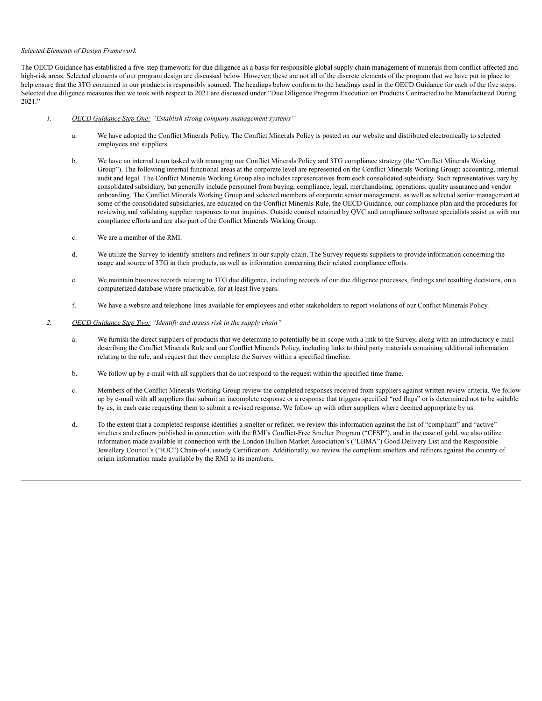#### *Selected Elements of Design Framework*

The OECD Guidance has established a five-step framework for due diligence as a basis for responsible global supply chain management of minerals from conflict-affected and high-risk areas. Selected elements of our program design are discussed below. However, these are not all of the discrete elements of the program that we have put in place to help ensure that the 3TG contained in our products is responsibly sourced. The headings below conform to the headings used in the OECD Guidance for each of the five steps. Selected due diligence measures that we took with respect to 2021 are discussed under "Due Diligence Program Execution on Products Contracted to be Manufactured During 2021."

- *1. OECD Guidance Step One: "Establish strong company management systems"*
	- a. We have adopted the Conflict Minerals Policy. The Conflict Minerals Policy is posted on our website and distributed electronically to selected employees and suppliers.
	- b. We have an internal team tasked with managing our Conflict Minerals Policy and 3TG compliance strategy (the "Conflict Minerals Working Group"). The following internal functional areas at the corporate level are represented on the Conflict Minerals Working Group: accounting, internal audit and legal. The Conflict Minerals Working Group also includes representatives from each consolidated subsidiary. Such representatives vary by consolidated subsidiary, but generally include personnel from buying, compliance, legal, merchandising, operations, quality assurance and vendor onboarding. The Conflict Minerals Working Group and selected members of corporate senior management, as well as selected senior management at some of the consolidated subsidiaries, are educated on the Conflict Minerals Rule, the OECD Guidance, our compliance plan and the procedures for reviewing and validating supplier responses to our inquiries. Outside counsel retained by QVC and compliance software specialists assist us with our compliance efforts and are also part of the Conflict Minerals Working Group.
	- c. We are a member of the RMI.
	- d. We utilize the Survey to identify smelters and refiners in our supply chain. The Survey requests suppliers to provide information concerning the usage and source of 3TG in their products, as well as information concerning their related compliance efforts.
	- e. We maintain business records relating to 3TG due diligence, including records of our due diligence processes, findings and resulting decisions, on a computerized database where practicable, for at least five years.
	- f. We have a website and telephone lines available for employees and other stakeholders to report violations of our Conflict Minerals Policy.
- *2. OECD Guidance Step Two: "Identify and assess risk in the supply chain"*
	- a. We furnish the direct suppliers of products that we determine to potentially be in-scope with a link to the Survey, along with an introductory e-mail describing the Conflict Minerals Rule and our Conflict Minerals Policy, including links to third party materials containing additional information relating to the rule, and request that they complete the Survey within a specified timeline.
	- b. We follow up by e-mail with all suppliers that do not respond to the request within the specified time frame.
	- c. Members of the Conflict Minerals Working Group review the completed responses received from suppliers against written review criteria. We follow up by e-mail with all suppliers that submit an incomplete response or a response that triggers specified "red flags" or is determined not to be suitable by us, in each case requesting them to submit a revised response. We follow up with other suppliers where deemed appropriate by us.
	- d. To the extent that a completed response identifies a smelter or refiner, we review this information against the list of "compliant" and "active" smelters and refiners published in connection with the RMI's Conflict-Free Smelter Program ("CFSP"), and in the case of gold, we also utilize information made available in connection with the London Bullion Market Association's ("LBMA") Good Delivery List and the Responsible Jewellery Council's ("RJC") Chain-of-Custody Certification. Additionally, we review the compliant smelters and refiners against the country of origin information made available by the RMI to its members.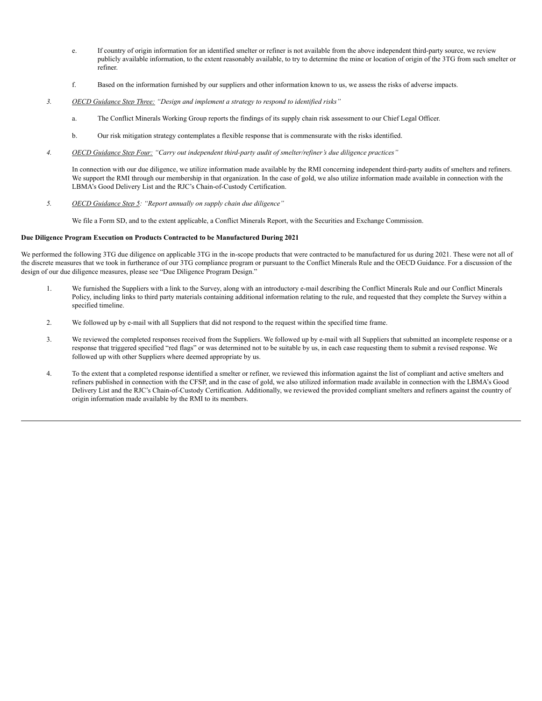- e. If country of origin information for an identified smelter or refiner is not available from the above independent third-party source, we review publicly available information, to the extent reasonably available, to try to determine the mine or location of origin of the 3TG from such smelter or refiner.
- f. Based on the information furnished by our suppliers and other information known to us, we assess the risks of adverse impacts.
- *3. OECD Guidance Step Three: "Design and implement a strategy to respond to identified risks"*
	- a. The Conflict Minerals Working Group reports the findings of its supply chain risk assessment to our Chief Legal Officer.
	- b. Our risk mitigation strategy contemplates a flexible response that is commensurate with the risks identified.
- *4. OECD Guidance Step Four: "Carry out independent third-party audit of smelter/refiner's due diligence practices"*

In connection with our due diligence, we utilize information made available by the RMI concerning independent third-party audits of smelters and refiners. We support the RMI through our membership in that organization. In the case of gold, we also utilize information made available in connection with the LBMA's Good Delivery List and the RJC's Chain-of-Custody Certification.

*5. OECD Guidance Step 5: "Report annually on supply chain due diligence"*

We file a Form SD, and to the extent applicable, a Conflict Minerals Report, with the Securities and Exchange Commission.

#### **Due Diligence Program Execution on Products Contracted to be Manufactured During 2021**

We performed the following 3TG due diligence on applicable 3TG in the in-scope products that were contracted to be manufactured for us during 2021. These were not all of the discrete measures that we took in furtherance of our 3TG compliance program or pursuant to the Conflict Minerals Rule and the OECD Guidance. For a discussion of the design of our due diligence measures, please see "Due Diligence Program Design."

- 1. We furnished the Suppliers with a link to the Survey, along with an introductory e-mail describing the Conflict Minerals Rule and our Conflict Minerals Policy, including links to third party materials containing additional information relating to the rule, and requested that they complete the Survey within a specified timeline.
- 2. We followed up by e-mail with all Suppliers that did not respond to the request within the specified time frame.
- 3. We reviewed the completed responses received from the Suppliers. We followed up by e-mail with all Suppliers that submitted an incomplete response or a response that triggered specified "red flags" or was determined not to be suitable by us, in each case requesting them to submit a revised response. We followed up with other Suppliers where deemed appropriate by us.
- 4. To the extent that a completed response identified a smelter or refiner, we reviewed this information against the list of compliant and active smelters and refiners published in connection with the CFSP, and in the case of gold, we also utilized information made available in connection with the LBMA's Good Delivery List and the RJC's Chain-of-Custody Certification. Additionally, we reviewed the provided compliant smelters and refiners against the country of origin information made available by the RMI to its members.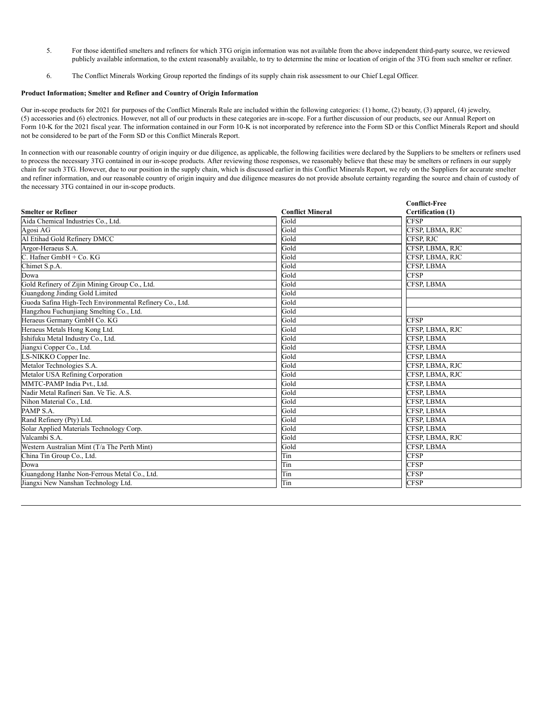- 5. For those identified smelters and refiners for which 3TG origin information was not available from the above independent third-party source, we reviewed publicly available information, to the extent reasonably available, to try to determine the mine or location of origin of the 3TG from such smelter or refiner.
- 6. The Conflict Minerals Working Group reported the findings of its supply chain risk assessment to our Chief Legal Officer.

#### **Product Information; Smelter and Refiner and Country of Origin Information**

Our in-scope products for 2021 for purposes of the Conflict Minerals Rule are included within the following categories: (1) home, (2) beauty, (3) apparel, (4) jewelry, (5) accessories and (6) electronics. However, not all of our products in these categories are in-scope. For a further discussion of our products, see our Annual Report on Form 10-K for the 2021 fiscal year. The information contained in our Form 10-K is not incorporated by reference into the Form SD or this Conflict Minerals Report and should not be considered to be part of the Form SD or this Conflict Minerals Report.

In connection with our reasonable country of origin inquiry or due diligence, as applicable, the following facilities were declared by the Suppliers to be smelters or refiners used to process the necessary 3TG contained in our in-scope products. After reviewing those responses, we reasonably believe that these may be smelters or refiners in our supply chain for such 3TG. However, due to our position in the supply chain, which is discussed earlier in this Conflict Minerals Report, we rely on the Suppliers for accurate smelter and refiner information, and our reasonable country of origin inquiry and due diligence measures do not provide absolute certainty regarding the source and chain of custody of the necessary 3TG contained in our in-scope products.

|                                                         |                         | <b>Conflict-Free</b>     |
|---------------------------------------------------------|-------------------------|--------------------------|
| <b>Smelter or Refiner</b>                               | <b>Conflict Mineral</b> | <b>Certification (1)</b> |
| Aida Chemical Industries Co., Ltd.                      | Gold                    | <b>CFSP</b>              |
| Agosi AG                                                | Gold                    | CFSP, LBMA, RJC          |
| Al Etihad Gold Refinery DMCC                            | Gold                    | CFSP, RJC                |
| Argor-Heraeus S.A.                                      | Gold                    | CFSP, LBMA, RJC          |
| C. Hafner GmbH + Co. KG                                 | Gold                    | CFSP, LBMA, RJC          |
| Chimet S.p.A.                                           | Gold                    | CFSP, LBMA               |
| Dowa                                                    | Gold                    | <b>CFSP</b>              |
| Gold Refinery of Zijin Mining Group Co., Ltd.           | Gold                    | CFSP, LBMA               |
| Guangdong Jinding Gold Limited                          | Gold                    |                          |
| Guoda Safina High-Tech Environmental Refinery Co., Ltd. | Gold                    |                          |
| Hangzhou Fuchunjiang Smelting Co., Ltd.                 | Gold                    |                          |
| Heraeus Germany GmbH Co. KG                             | Gold                    | <b>CFSP</b>              |
| Heraeus Metals Hong Kong Ltd.                           | Gold                    | CFSP, LBMA, RJC          |
| Ishifuku Metal Industry Co., Ltd.                       | Gold                    | CFSP, LBMA               |
| Jiangxi Copper Co., Ltd.                                | Gold                    | CFSP, LBMA               |
| LS-NIKKO Copper Inc.                                    | Gold                    | CFSP, LBMA               |
| Metalor Technologies S.A.                               | Gold                    | CFSP, LBMA, RJC          |
| Metalor USA Refining Corporation                        | Gold                    | CFSP, LBMA, RJC          |
| MMTC-PAMP India Pvt., Ltd.                              | Gold                    | CFSP, LBMA               |
| Nadir Metal Rafineri San. Ve Tic. A.S.                  | Gold                    | CFSP, LBMA               |
| Nihon Material Co., Ltd.                                | Gold                    | CFSP, LBMA               |
| PAMP S.A.                                               | Gold                    | CFSP, LBMA               |
| Rand Refinery (Pty) Ltd.                                | Gold                    | CFSP, LBMA               |
| Solar Applied Materials Technology Corp.                | Gold                    | CFSP, LBMA               |
| Valcambi S.A.                                           | Gold                    | CFSP. LBMA. RJC          |
| Western Australian Mint (T/a The Perth Mint)            | Gold                    | <b>CFSP, LBMA</b>        |
| China Tin Group Co., Ltd.                               | Tin                     | C <sub>FSP</sub>         |
| Dowa                                                    | Tin                     | <b>CFSP</b>              |
| Guangdong Hanhe Non-Ferrous Metal Co., Ltd.             | Tin                     | <b>CFSP</b>              |
| Jiangxi New Nanshan Technology Ltd.                     | Tin                     | <b>CFSP</b>              |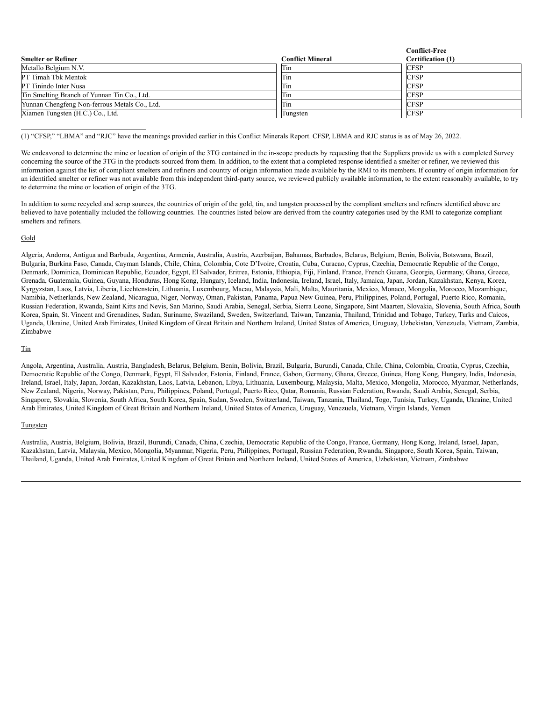|                                               |                         | <b>Conflict-Free</b> |
|-----------------------------------------------|-------------------------|----------------------|
| <b>Smelter or Refiner</b>                     | <b>Conflict Mineral</b> | Certification (1)    |
| Metallo Belgium N.V.                          | Tin                     | <b>CFSP</b>          |
| PT Timah Tbk Mentok                           | Tin                     | <b>CFSP</b>          |
| PT Tinindo Inter Nusa                         | Tin                     | <b>CFSP</b>          |
| Tin Smelting Branch of Yunnan Tin Co., Ltd.   | Tin                     | <b>CFSP</b>          |
| Yunnan Chengfeng Non-ferrous Metals Co., Ltd. | Tin                     | <b>CFSP</b>          |
| Xiamen Tungsten (H.C.) Co., Ltd.              | Tungsten                | <b>CFSP</b>          |

(1) "CFSP," "LBMA" and "RJC" have the meanings provided earlier in this Conflict Minerals Report. CFSP, LBMA and RJC status is as of May 26, 2022.

We endeavored to determine the mine or location of origin of the 3TG contained in the in-scope products by requesting that the Suppliers provide us with a completed Survey concerning the source of the 3TG in the products sourced from them. In addition, to the extent that a completed response identified a smelter or refiner, we reviewed this information against the list of compliant smelters and refiners and country of origin information made available by the RMI to its members. If country of origin information for an identified smelter or refiner was not available from this independent third-party source, we reviewed publicly available information, to the extent reasonably available, to try to determine the mine or location of origin of the 3TG.

In addition to some recycled and scrap sources, the countries of origin of the gold, tin, and tungsten processed by the compliant smelters and refiners identified above are believed to have potentially included the following countries. The countries listed below are derived from the country categories used by the RMI to categorize compliant smelters and refiners.

#### Gold

Algeria, Andorra, Antigua and Barbuda, Argentina, Armenia, Australia, Austria, Azerbaijan, Bahamas, Barbados, Belarus, Belgium, Benin, Bolivia, Botswana, Brazil, Bulgaria, Burkina Faso, Canada, Cayman Islands, Chile, China, Colombia, Cote D'Ivoire, Croatia, Cuba, Curacao, Cyprus, Czechia, Democratic Republic of the Congo, Denmark, Dominica, Dominican Republic, Ecuador, Egypt, El Salvador, Eritrea, Estonia, Ethiopia, Fiji, Finland, France, French Guiana, Georgia, Germany, Ghana, Greece, Grenada, Guatemala, Guinea, Guyana, Honduras, Hong Kong, Hungary, Iceland, India, Indonesia, Ireland, Israel, Italy, Jamaica, Japan, Jordan, Kazakhstan, Kenya, Korea, Kyrgyzstan, Laos, Latvia, Liberia, Liechtenstein, Lithuania, Luxembourg, Macau, Malaysia, Mali, Malta, Mauritania, Mexico, Monaco, Mongolia, Morocco, Mozambique, Namibia, Netherlands, New Zealand, Nicaragua, Niger, Norway, Oman, Pakistan, Panama, Papua New Guinea, Peru, Philippines, Poland, Portugal, Puerto Rico, Romania, Russian Federation, Rwanda, Saint Kitts and Nevis, San Marino, Saudi Arabia, Senegal, Serbia, Sierra Leone, Singapore, Sint Maarten, Slovakia, Slovenia, South Africa, South Korea, Spain, St. Vincent and Grenadines, Sudan, Suriname, Swaziland, Sweden, Switzerland, Taiwan, Tanzania, Thailand, Trinidad and Tobago, Turkey, Turks and Caicos, Uganda, Ukraine, United Arab Emirates, United Kingdom of Great Britain and Northern Ireland, United States of America, Uruguay, Uzbekistan, Venezuela, Vietnam, Zambia, Zimbabwe

#### Tin

Angola, Argentina, Australia, Austria, Bangladesh, Belarus, Belgium, Benin, Bolivia, Brazil, Bulgaria, Burundi, Canada, Chile, China, Colombia, Croatia, Cyprus, Czechia, Democratic Republic of the Congo, Denmark, Egypt, El Salvador, Estonia, Finland, France, Gabon, Germany, Ghana, Greece, Guinea, Hong Kong, Hungary, India, Indonesia, Ireland, Israel, Italy, Japan, Jordan, Kazakhstan, Laos, Latvia, Lebanon, Libya, Lithuania, Luxembourg, Malaysia, Malta, Mexico, Mongolia, Morocco, Myanmar, Netherlands, New Zealand, Nigeria, Norway, Pakistan, Peru, Philippines, Poland, Portugal, Puerto Rico, Qatar, Romania, Russian Federation, Rwanda, Saudi Arabia, Senegal, Serbia, Singapore, Slovakia, Slovenia, South Africa, South Korea, Spain, Sudan, Sweden, Switzerland, Taiwan, Tanzania, Thailand, Togo, Tunisia, Turkey, Uganda, Ukraine, United Arab Emirates, United Kingdom of Great Britain and Northern Ireland, United States of America, Uruguay, Venezuela, Vietnam, Virgin Islands, Yemen

#### Tungsten

Australia, Austria, Belgium, Bolivia, Brazil, Burundi, Canada, China, Czechia, Democratic Republic of the Congo, France, Germany, Hong Kong, Ireland, Israel, Japan, Kazakhstan, Latvia, Malaysia, Mexico, Mongolia, Myanmar, Nigeria, Peru, Philippines, Portugal, Russian Federation, Rwanda, Singapore, South Korea, Spain, Taiwan, Thailand, Uganda, United Arab Emirates, United Kingdom of Great Britain and Northern Ireland, United States of America, Uzbekistan, Vietnam, Zimbabwe